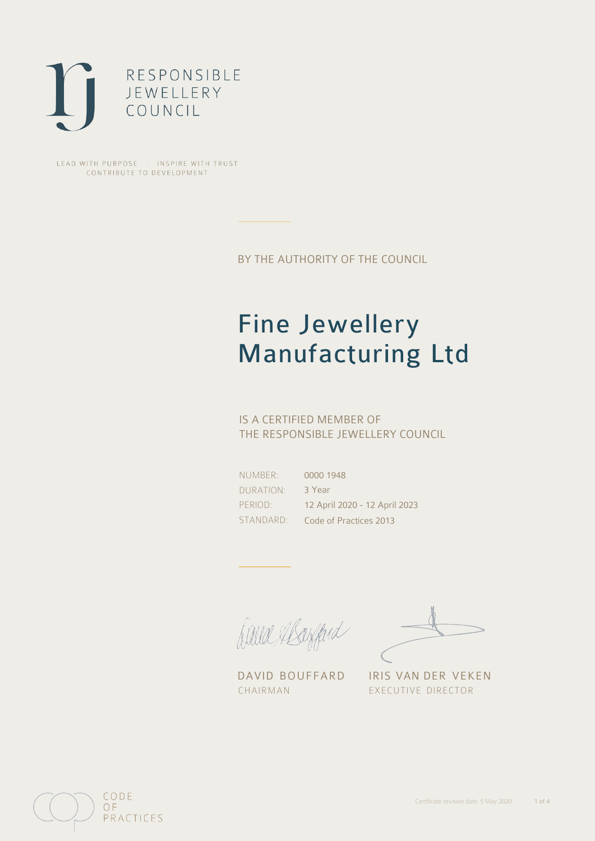

LEAD WITH PURPOSE . INSPIRE WITH TRUST CONTRIBUTE TO DEVELOPMENT

BY THE AUTHORITY OF THE COUNCIL

## Fine Jewellery Manufacturing Ltd

### IS A CERTIFIED MEMBER OF THE RESPONSIBLE JEWELLERY COUNCIL

NUMBER: DURATION: PERIOD: STANDARD:

0000 1948 3 Year 12 April 2020 - 12 April 2023 Code of Practices 2013

David Alsofferd

DAVID BOUFFARD IRIS VAN DER VEKEN CHAIRMAN EXECUTIVE DIRECTOR

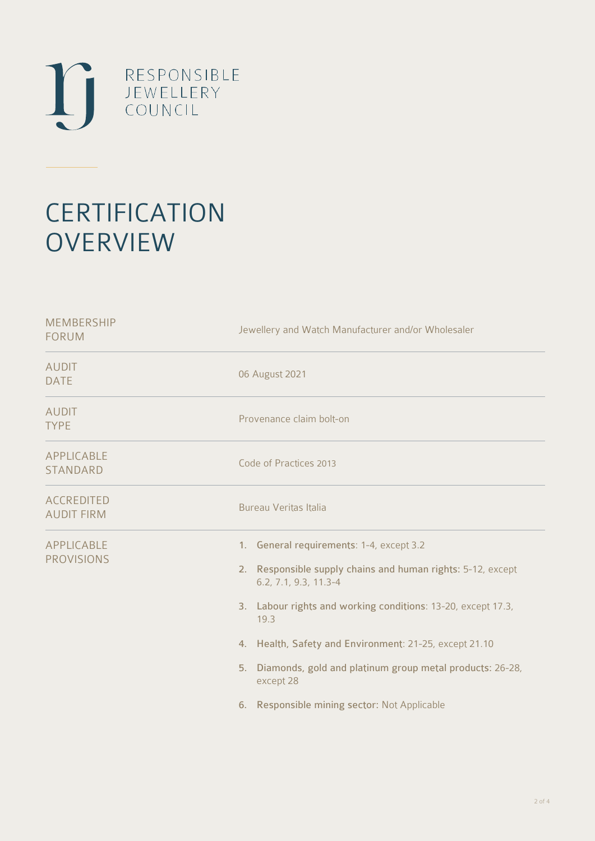

# **CERTIFICATION OVERVIEW**

| <b>MEMBERSHIP</b><br><b>FORUM</b>      | Jewellery and Watch Manufacturer and/or Wholesaler                                                                                                                                                                                                                                                                                                                                                |  |  |
|----------------------------------------|---------------------------------------------------------------------------------------------------------------------------------------------------------------------------------------------------------------------------------------------------------------------------------------------------------------------------------------------------------------------------------------------------|--|--|
| <b>AUDIT</b><br><b>DATE</b>            | 06 August 2021                                                                                                                                                                                                                                                                                                                                                                                    |  |  |
| <b>AUDIT</b><br><b>TYPE</b>            | Provenance claim bolt-on                                                                                                                                                                                                                                                                                                                                                                          |  |  |
| APPLICABLE<br><b>STANDARD</b>          | Code of Practices 2013                                                                                                                                                                                                                                                                                                                                                                            |  |  |
| <b>ACCREDITED</b><br><b>AUDIT FIRM</b> | <b>Bureau Veritas Italia</b>                                                                                                                                                                                                                                                                                                                                                                      |  |  |
| APPLICABLE<br><b>PROVISIONS</b>        | 1. General requirements: 1-4, except 3.2<br>2. Responsible supply chains and human rights: 5-12, except<br>6.2, 7.1, 9.3, 11.3-4<br>3. Labour rights and working conditions: 13-20, except 17.3,<br>19.3<br>4. Health, Safety and Environment: 21-25, except 21.10<br>Diamonds, gold and platinum group metal products: 26-28,<br>5.<br>except 28<br>6. Responsible mining sector: Not Applicable |  |  |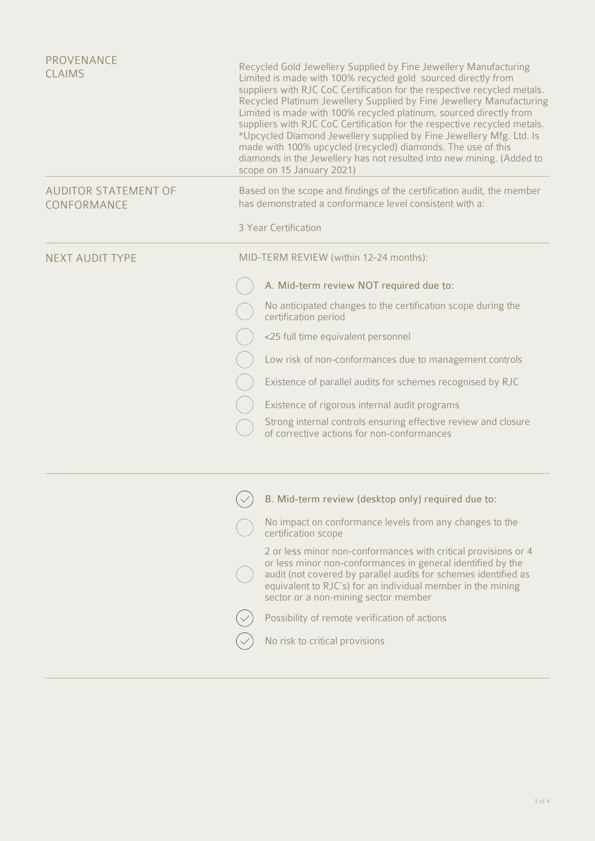| PROVENANCE<br><b>CLAIMS</b>                | Recycled Gold Jewellery Supplied by Fine Jewellery Manufacturing<br>Limited is made with 100% recycled gold sourced directly from<br>suppliers with RJC CoC Certification for the respective recycled metals.<br>Recycled Platinum Jewellery Supplied by Fine Jewellery Manufacturing<br>Limited is made with 100% recycled platinum, sourced directly from<br>suppliers with RJC CoC Certification for the respective recycled metals.<br>*Upcycled Diamond Jewellery supplied by Fine Jewellery Mfg. Ltd. Is<br>made with 100% upcycled (recycled) diamonds. The use of this<br>diamonds in the Jewellery has not resulted into new mining. (Added to<br>scope on 15 January 2021) |                                                                                                                                                                                                                                                                                                         |  |
|--------------------------------------------|--------------------------------------------------------------------------------------------------------------------------------------------------------------------------------------------------------------------------------------------------------------------------------------------------------------------------------------------------------------------------------------------------------------------------------------------------------------------------------------------------------------------------------------------------------------------------------------------------------------------------------------------------------------------------------------|---------------------------------------------------------------------------------------------------------------------------------------------------------------------------------------------------------------------------------------------------------------------------------------------------------|--|
| <b>AUDITOR STATEMENT OF</b><br>CONFORMANCE |                                                                                                                                                                                                                                                                                                                                                                                                                                                                                                                                                                                                                                                                                      | Based on the scope and findings of the certification audit, the member<br>has demonstrated a conformance level consistent with a:<br>3 Year Certification                                                                                                                                               |  |
| <b>NEXT AUDIT TYPE</b>                     |                                                                                                                                                                                                                                                                                                                                                                                                                                                                                                                                                                                                                                                                                      | MID-TERM REVIEW (within 12-24 months):                                                                                                                                                                                                                                                                  |  |
|                                            |                                                                                                                                                                                                                                                                                                                                                                                                                                                                                                                                                                                                                                                                                      | A. Mid-term review NOT required due to:                                                                                                                                                                                                                                                                 |  |
|                                            |                                                                                                                                                                                                                                                                                                                                                                                                                                                                                                                                                                                                                                                                                      | No anticipated changes to the certification scope during the<br>certification period                                                                                                                                                                                                                    |  |
|                                            |                                                                                                                                                                                                                                                                                                                                                                                                                                                                                                                                                                                                                                                                                      | <25 full time equivalent personnel                                                                                                                                                                                                                                                                      |  |
|                                            |                                                                                                                                                                                                                                                                                                                                                                                                                                                                                                                                                                                                                                                                                      | Low risk of non-conformances due to management controls                                                                                                                                                                                                                                                 |  |
|                                            |                                                                                                                                                                                                                                                                                                                                                                                                                                                                                                                                                                                                                                                                                      | Existence of parallel audits for schemes recognised by RJC                                                                                                                                                                                                                                              |  |
|                                            |                                                                                                                                                                                                                                                                                                                                                                                                                                                                                                                                                                                                                                                                                      | Existence of rigorous internal audit programs                                                                                                                                                                                                                                                           |  |
|                                            |                                                                                                                                                                                                                                                                                                                                                                                                                                                                                                                                                                                                                                                                                      | Strong internal controls ensuring effective review and closure<br>of corrective actions for non-conformances                                                                                                                                                                                            |  |
|                                            |                                                                                                                                                                                                                                                                                                                                                                                                                                                                                                                                                                                                                                                                                      |                                                                                                                                                                                                                                                                                                         |  |
|                                            |                                                                                                                                                                                                                                                                                                                                                                                                                                                                                                                                                                                                                                                                                      | $(\mathord{\swarrow})$ $\;$ B. Mid-term review (desktop only) required due to:                                                                                                                                                                                                                          |  |
|                                            |                                                                                                                                                                                                                                                                                                                                                                                                                                                                                                                                                                                                                                                                                      | No impact on conformance levels from any changes to the<br>certification scope                                                                                                                                                                                                                          |  |
|                                            |                                                                                                                                                                                                                                                                                                                                                                                                                                                                                                                                                                                                                                                                                      | 2 or less minor non-conformances with critical provisions or 4<br>or less minor non-conformances in general identified by the<br>audit (not covered by parallel audits for schemes identified as<br>equivalent to RJC's) for an individual member in the mining<br>sector or a non-mining sector member |  |
|                                            |                                                                                                                                                                                                                                                                                                                                                                                                                                                                                                                                                                                                                                                                                      | Possibility of remote verification of actions                                                                                                                                                                                                                                                           |  |
|                                            |                                                                                                                                                                                                                                                                                                                                                                                                                                                                                                                                                                                                                                                                                      | No risk to critical provisions                                                                                                                                                                                                                                                                          |  |
|                                            |                                                                                                                                                                                                                                                                                                                                                                                                                                                                                                                                                                                                                                                                                      |                                                                                                                                                                                                                                                                                                         |  |